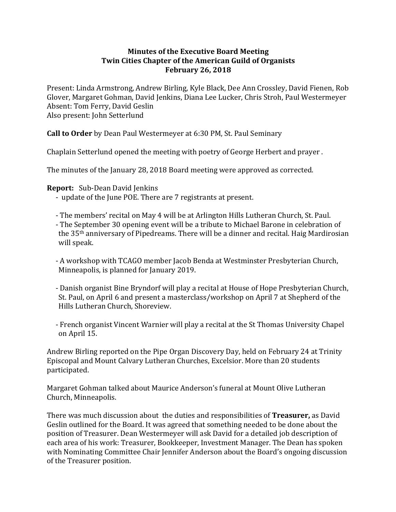## **Minutes of the Executive Board Meeting Twin Cities Chapter of the American Guild of Organists February 26, 2018**

Present: Linda Armstrong, Andrew Birling, Kyle Black, Dee Ann Crossley, David Fienen, Rob Glover, Margaret Gohman, David Jenkins, Diana Lee Lucker, Chris Stroh, Paul Westermeyer Absent: Tom Ferry, David Geslin Also present: John Setterlund

**Call to Order** by Dean Paul Westermeyer at 6:30 PM, St. Paul Seminary

Chaplain Setterlund opened the meeting with poetry of George Herbert and prayer.

The minutes of the January 28, 2018 Board meeting were approved as corrected.

## **Report:** Sub-Dean David Jenkins

- update of the June POE. There are 7 registrants at present.
- The members' recital on May 4 will be at Arlington Hills Lutheran Church, St. Paul.
- The September 30 opening event will be a tribute to Michael Barone in celebration of the  $35<sup>th</sup>$  anniversary of Pipedreams. There will be a dinner and recital. Haig Mardirosian will speak.
- A workshop with TCAGO member Jacob Benda at Westminster Presbyterian Church, Minneapolis, is planned for January 2019.
- Danish organist Bine Bryndorf will play a recital at House of Hope Presbyterian Church, St. Paul, on April 6 and present a masterclass/workshop on April 7 at Shepherd of the Hills Lutheran Church, Shoreview.
- French organist Vincent Warnier will play a recital at the St Thomas University Chapel on April 15.

Andrew Birling reported on the Pipe Organ Discovery Day, held on February 24 at Trinity Episcopal and Mount Calvary Lutheran Churches, Excelsior. More than 20 students participated.

Margaret Gohman talked about Maurice Anderson's funeral at Mount Olive Lutheran Church, Minneapolis.

There was much discussion about the duties and responsibilities of **Treasurer**, as David Geslin outlined for the Board. It was agreed that something needed to be done about the position of Treasurer. Dean Westermeyer will ask David for a detailed job description of each area of his work: Treasurer, Bookkeeper, Investment Manager. The Dean has spoken with Nominating Committee Chair Jennifer Anderson about the Board's ongoing discussion of the Treasurer position.